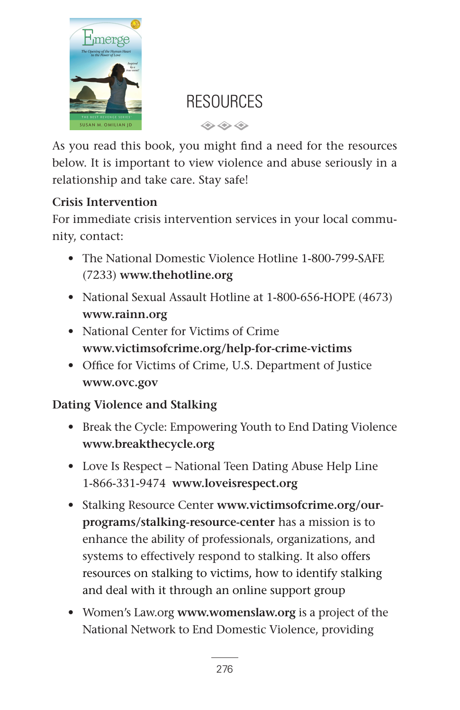

# **RESOURCES**

 $\Leftrightarrow$   $\Leftrightarrow$   $\Leftrightarrow$ 

As you read this book, you might find a need for the resources below. It is important to view violence and abuse seriously in a relationship and take care. Stay safe!

## **Crisis Intervention**

For immediate crisis intervention services in your local community, contact:

- The National Domestic Violence Hotline 1-800-799-SAFE (7233) **www.thehotline.org**
- National Sexual Assault Hotline at 1-800-656-HOPE (4673) **www.rainn.org**
- National Center for Victims of Crime **www.victimsofcrime.org/help-for-crime-victims**
- Office for Victims of Crime, U.S. Department of Justice **www.ovc.gov**

## **Dating Violence and Stalking**

- Break the Cycle: Empowering Youth to End Dating Violence **www.breakthecycle.org**
- Love Is Respect National Teen Dating Abuse Help Line 1-866-331-9474 **www.loveisrespect.org**
- Stalking Resource Center **www.victimsofcrime.org/ourprograms/stalking-resource-center** has a mission is to enhance the ability of professionals, organizations, and systems to effectively respond to stalking. It also offers resources on stalking to victims, how to identify stalking and deal with it through an online support group
- Women's Law.org **www.womenslaw.org** is a project of the National Network to End Domestic Violence, providing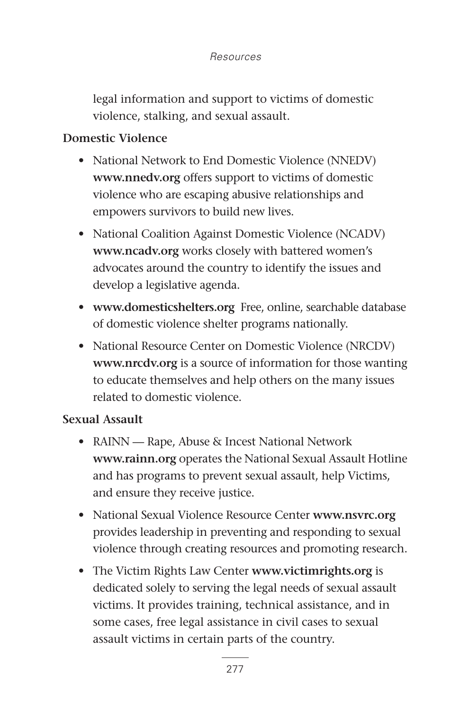legal information and support to victims of domestic violence, stalking, and sexual assault.

#### **Domestic Violence**

- National Network to End Domestic Violence (NNEDV) **www.nnedv.org** offers support to victims of domestic violence who are escaping abusive relationships and empowers survivors to build new lives.
- National Coalition Against Domestic Violence (NCADV) **www.ncadv.org** works closely with battered women's advocates around the country to identify the issues and develop a legislative agenda.
- **www.domesticshelters.org** Free, online, searchable database of domestic violence shelter programs nationally.
- National Resource Center on Domestic Violence (NRCDV) **www.nrcdv.org** is a source of information for those wanting to educate themselves and help others on the many issues related to domestic violence.

#### **Sexual Assault**

- RAINN Rape, Abuse & Incest National Network **www.rainn.org** operates the National Sexual Assault Hotline and has programs to prevent sexual assault, help Victims, and ensure they receive justice.
- National Sexual Violence Resource Center **www.nsvrc.org** provides leadership in preventing and responding to sexual violence through creating resources and promoting research.
- The Victim Rights Law Center **www.victimrights.org** is dedicated solely to serving the legal needs of sexual assault victims. It provides training, technical assistance, and in some cases, free legal assistance in civil cases to sexual assault victims in certain parts of the country.